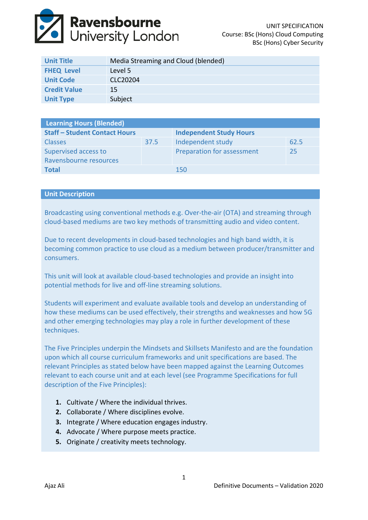

| <b>Unit Title</b>   | Media Streaming and Cloud (blended) |
|---------------------|-------------------------------------|
| <b>FHEQ Level</b>   | Level 5                             |
| <b>Unit Code</b>    | CLC20204                            |
| <b>Credit Value</b> | 15                                  |
| <b>Unit Type</b>    | Subject                             |

| <b>Learning Hours (Blended)</b>      |      |                                |      |  |  |
|--------------------------------------|------|--------------------------------|------|--|--|
| <b>Staff - Student Contact Hours</b> |      | <b>Independent Study Hours</b> |      |  |  |
| <b>Classes</b>                       | 37.5 | Independent study              | 62.5 |  |  |
| Supervised access to                 |      | Preparation for assessment     | 25   |  |  |
| Ravensbourne resources               |      |                                |      |  |  |
| <b>Total</b>                         |      | 150                            |      |  |  |

#### **Unit Description**

Broadcasting using conventional methods e.g. Over-the-air (OTA) and streaming through cloud-based mediums are two key methods of transmitting audio and video content.

Due to recent developments in cloud-based technologies and high band width, it is becoming common practice to use cloud as a medium between producer/transmitter and consumers.

This unit will look at available cloud-based technologies and provide an insight into potential methods for live and off-line streaming solutions.

Students will experiment and evaluate available tools and develop an understanding of how these mediums can be used effectively, their strengths and weaknesses and how 5G and other emerging technologies may play a role in further development of these techniques.

The Five Principles underpin the Mindsets and Skillsets Manifesto and are the foundation upon which all course curriculum frameworks and unit specifications are based. The relevant Principles as stated below have been mapped against the Learning Outcomes relevant to each course unit and at each level (see Programme Specifications for full description of the Five Principles):

- **1.** Cultivate / Where the individual thrives.
- **2.** Collaborate / Where disciplines evolve.
- **3.** Integrate / Where education engages industry.
- **4.** Advocate / Where purpose meets practice.
- **5.** Originate / creativity meets technology.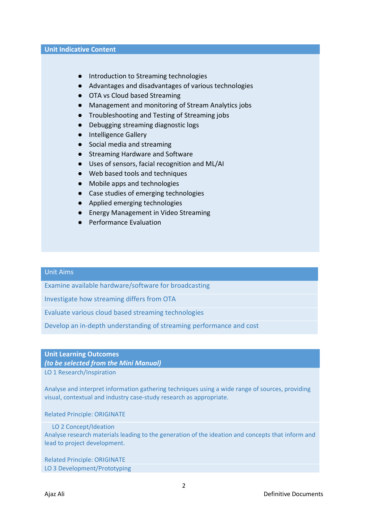# **Unit Indicative Content**

- Introduction to Streaming technologies
- Advantages and disadvantages of various technologies
- OTA vs Cloud based Streaming
- Management and monitoring of Stream Analytics jobs
- Troubleshooting and Testing of Streaming jobs
- Debugging streaming diagnostic logs
- Intelligence Gallery
- Social media and streaming
- Streaming Hardware and Software
- Uses of sensors, facial recognition and ML/AI
- Web based tools and techniques
- Mobile apps and technologies
- Case studies of emerging technologies
- Applied emerging technologies
- Energy Management in Video Streaming
- Performance Evaluation

#### Unit Aims

Examine available hardware/software for broadcasting

Investigate how streaming differs from OTA

Evaluate various cloud based streaming technologies

Develop an in-depth understanding of streaming performance and cost

#### **Unit Learning Outcomes**

*(to be selected from the Mini Manual)*

LO 1 Research/Inspiration

Analyse and interpret information gathering techniques using a wide range of sources, providing visual, contextual and industry case-study research as appropriate.

Related Principle: ORIGINATE

LO 2 Concept/Ideation

Analyse research materials leading to the generation of the ideation and concepts that inform and lead to project development.

Related Principle: ORIGINATE LO 3 Development/Prototyping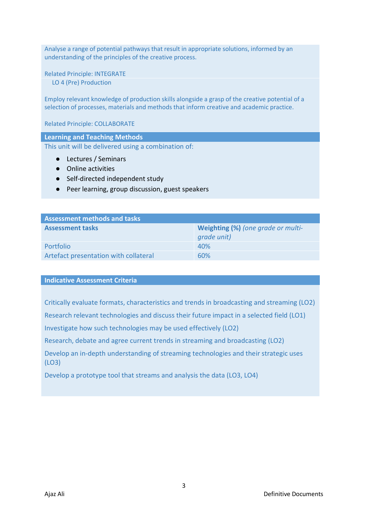Analyse a range of potential pathways that result in appropriate solutions, informed by an understanding of the principles of the creative process.

Related Principle: INTEGRATE

LO 4 (Pre) Production

Employ relevant knowledge of production skills alongside a grasp of the creative potential of a selection of processes, materials and methods that inform creative and academic practice.

Related Principle: COLLABORATE

# **Learning and Teaching Methods**

This unit will be delivered using a combination of:

- Lectures / Seminars
- Online activities
- Self-directed independent study
- Peer learning, group discussion, guest speakers

| <b>Assessment methods and tasks</b>   |                                                   |  |  |  |
|---------------------------------------|---------------------------------------------------|--|--|--|
| <b>Assessment tasks</b>               | Weighting (%) (one grade or multi-<br>grade unit) |  |  |  |
| Portfolio                             | 40%                                               |  |  |  |
| Artefact presentation with collateral | 60%                                               |  |  |  |

# **Indicative Assessment Criteria**

Critically evaluate formats, characteristics and trends in broadcasting and streaming (LO2)

Research relevant technologies and discuss their future impact in a selected field (LO1)

Investigate how such technologies may be used effectively (LO2)

Research, debate and agree current trends in streaming and broadcasting (LO2)

Develop an in-depth understanding of streaming technologies and their strategic uses (LO3)

Develop a prototype tool that streams and analysis the data (LO3, LO4)